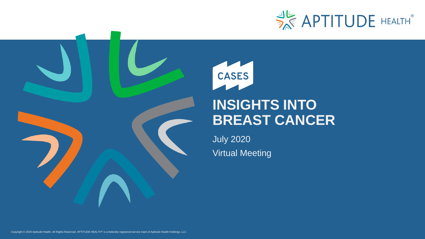

# CASES **INSIGHTS INTO BREAST CANCER**

July 2020 Virtual Meeting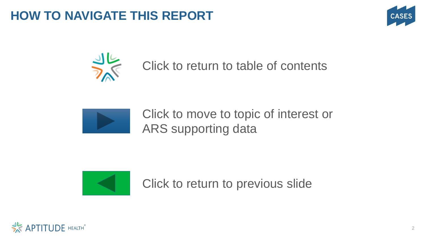## **HOW TO NAVIGATE THIS REPORT**





## Click to return to table of contents



Click to move to topic of interest or ARS supporting data



Click to return to previous slide

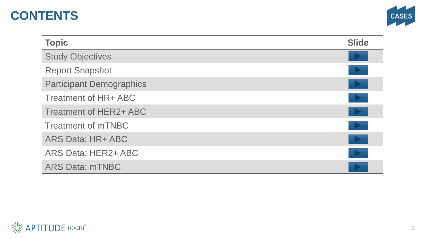## **CONTENTS**



| <b>Topic</b>                    | <b>Slide</b> |
|---------------------------------|--------------|
| <b>Study Objectives</b>         |              |
| <b>Report Snapshot</b>          |              |
| <b>Participant Demographics</b> | <b>P</b>     |
| Treatment of HR+ ABC            |              |
| Treatment of HER2+ ABC          |              |
| <b>Treatment of mTNBC</b>       |              |
| ARS Data: HR+ ABC               | <b>P</b>     |
| ARS Data: HER2+ ABC             |              |
| <b>ARS Data: mTNBC</b>          |              |

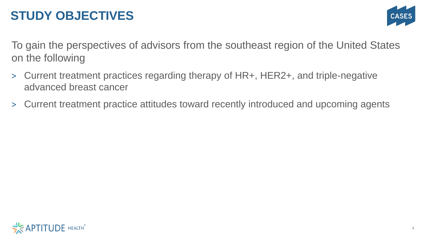## **STUDY OBJECTIVES**



To gain the perspectives of advisors from the southeast region of the United States on the following

- > Current treatment practices regarding therapy of HR+, HER2+, and triple-negative advanced breast cancer
- > Current treatment practice attitudes toward recently introduced and upcoming agents

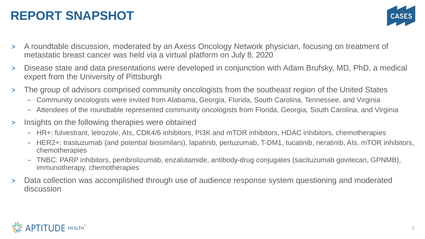## **REPORT SNAPSHOT**



- > A roundtable discussion, moderated by an Axess Oncology Network physician, focusing on treatment of metastatic breast cancer was held via a virtual platform on July 8, 2020
- > Disease state and data presentations were developed in conjunction with Adam Brufsky, MD, PhD, a medical expert from the University of Pittsburgh
- > The group of advisors comprised community oncologists from the southeast region of the United States
	- − Community oncologists were invited from Alabama, Georgia, Florida, South Carolina, Tennessee, and Virginia
	- − Attendees of the roundtable represented community oncologists from Florida, Georgia, South Carolina, and Virginia
- > Insights on the following therapies were obtained
	- − HR+: fulvestrant, letrozole, AIs, CDK4/6 inhibitors, PI3K and mTOR inhibitors, HDAC inhibitors, chemotherapies
	- − HER2+: trastuzumab (and potential biosimilars), lapatinib, pertuzumab, T-DM1, tucatinib, neratinib, AIs, mTOR inhibitors, chemotherapies
	- − TNBC: PARP inhibitors, pembrolizumab, enzalutamide, antibody-drug conjugates (sacituzumab govitecan, GPNMB), immunotherapy, chemotherapies
- > Data collection was accomplished through use of audience response system questioning and moderated discussion

### **APTITUDE HEALTH®**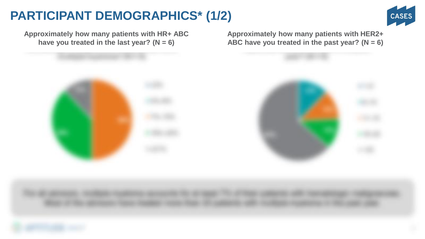## **PARTICIPANT DEMOGRAPHICS\* (1/2)**



**Approximately how many patients with HR+ ABC have you treated in the last year? (N = 6)**

**Approximately how many patients with HER2+ ABC have you treated in the past year? (N = 6)**

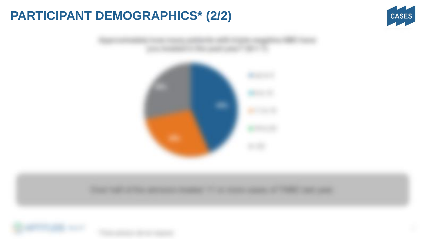## **PARTICIPANT DEMOGRAPHICS\* (2/2)**







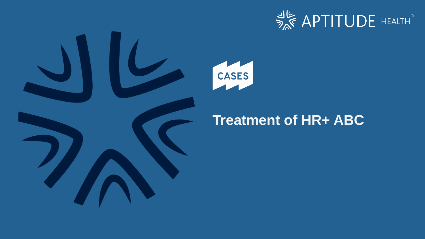





## **Treatment of HR+ ABC**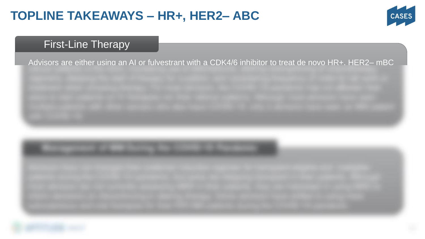## **TOPLINE TAKEAWAYS – HR+, HER2– ABC**



### First-Line Therapy

Advisors are either using an AI or fulvestrant with a CDK4/6 inhibitor to treat de novo HR+, HER2– mBC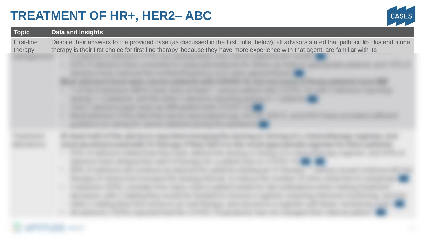## **TREATMENT OF HR+, HER2– ABC**



| <b>Topic</b>          | <b>Data and Insights</b>                                                                                                                                                                                                                                                   |
|-----------------------|----------------------------------------------------------------------------------------------------------------------------------------------------------------------------------------------------------------------------------------------------------------------------|
| First-line<br>therapy | Despite their answers to the provided case (as discussed in the first bullet below), all advisors stated that palbociclib plus endocrine<br>therapy is their first choice for first-line therapy, because they have more experience with that agent, are familiar with its |
|                       |                                                                                                                                                                                                                                                                            |
|                       |                                                                                                                                                                                                                                                                            |
|                       |                                                                                                                                                                                                                                                                            |
|                       |                                                                                                                                                                                                                                                                            |
|                       |                                                                                                                                                                                                                                                                            |
|                       |                                                                                                                                                                                                                                                                            |
|                       |                                                                                                                                                                                                                                                                            |
|                       |                                                                                                                                                                                                                                                                            |
|                       |                                                                                                                                                                                                                                                                            |
|                       |                                                                                                                                                                                                                                                                            |
|                       |                                                                                                                                                                                                                                                                            |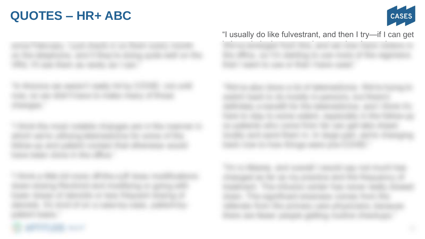## **QUOTES – HR+ ABC**



"I usually do like fulvestrant, and then I try—if I can get

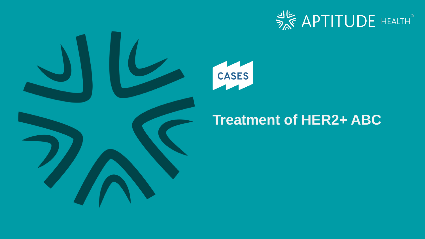





## **Treatment of HER2+ ABC**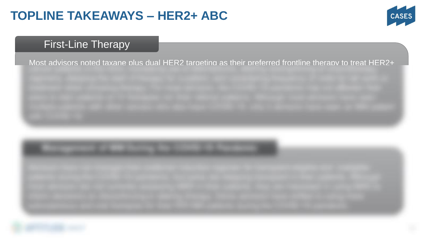## **TOPLINE TAKEAWAYS – HER2+ ABC**



### **First-Line Therapy**

Most advisors noted taxane plus dual HER2 targeting as their preferred frontline therapy to treat HER2+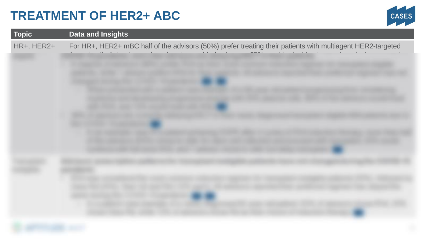## **TREATMENT OF HER2+ ABC**



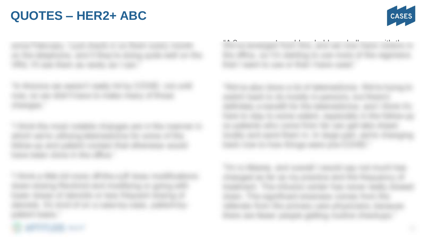## **QUOTES – HER2+ ABC**



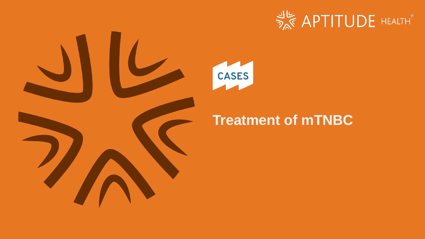





## **Treatment of mTNBC**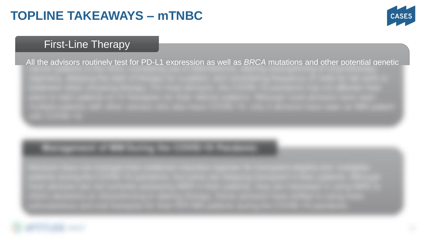## **TOPLINE TAKEAWAYS – mTNBC**



### First-Line Therapy

All the advisors routinely test for PD-L1 expression as well as *BRCA* mutations and other potential genetic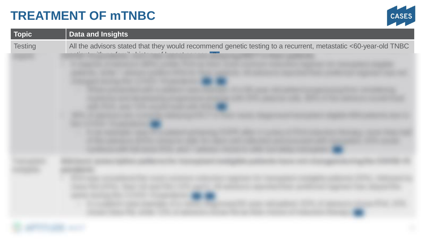## **TREATMENT OF mTNBC**



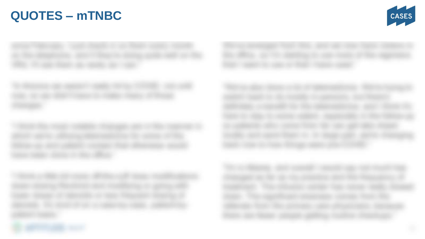## **QUOTES – mTNBC**



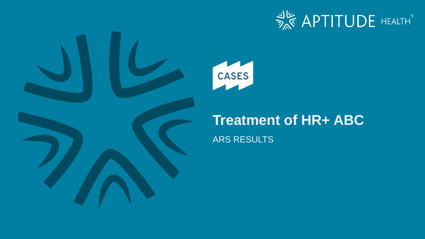





## **Treatment of HR+ ABC**

ARS RESULTS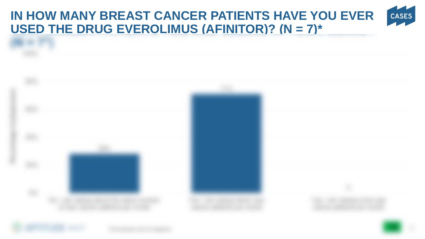#### **IN HOW MANY BREAST CANCER PATIENTS HAVE YOU EVER CASES USED THE DRUG EVEROLIMUS (AFINITOR)? (N = 7)\***

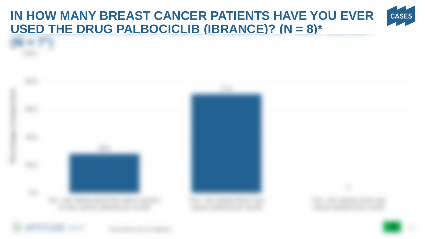#### **IN HOW MANY BREAST CANCER PATIENTS HAVE YOU EVER CASES USED THE DRUG PALBOCICLIB (IBRANCE)? (N = 8)\***

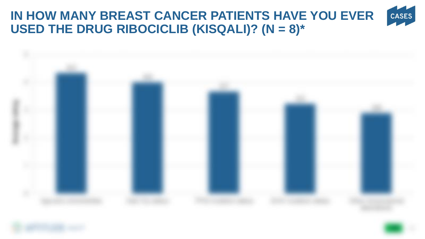#### **IN HOW MANY BREAST CANCER PATIENTS HAVE YOU EVER**  CASES **USED THE DRUG RIBOCICLIB (KISQALI)? (N = 8)\***



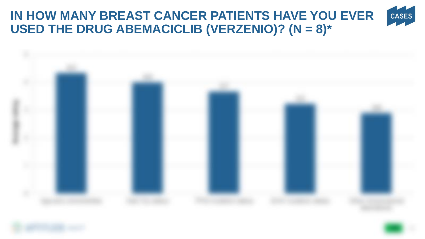### **IN HOW MANY BREAST CANCER PATIENTS HAVE YOU EVER**  CASES **USED THE DRUG ABEMACICLIB (VERZENIO)? (N = 8)\***



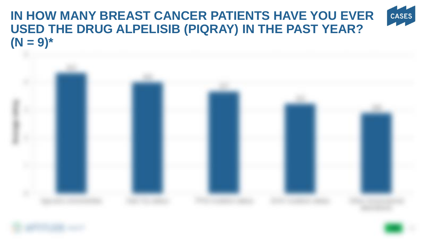### **IN HOW MANY BREAST CANCER PATIENTS HAVE YOU EVER**  CASES **USED THE DRUG ALPELISIB (PIQRAY) IN THE PAST YEAR?**   $(N = 9)^*$

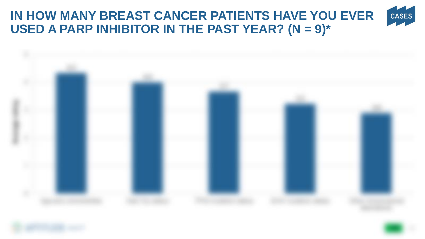### **IN HOW MANY BREAST CANCER PATIENTS HAVE YOU EVER**  CASES **USED A PARP INHIBITOR IN THE PAST YEAR? (N = 9)\***

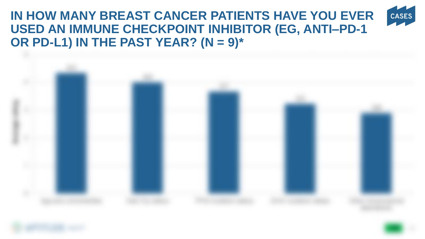### **IN HOW MANY BREAST CANCER PATIENTS HAVE YOU EVER**  CASES **USED AN IMMUNE CHECKPOINT INHIBITOR (EG, ANTI–PD-1 OR PD-L1) IN THE PAST YEAR? (N = 9)\***



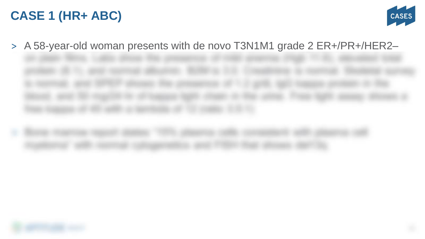## **CASE 1 (HR+ ABC)**



> A 58-year-old woman presents with de novo T3N1M1 grade 2 ER+/PR+/HER2–



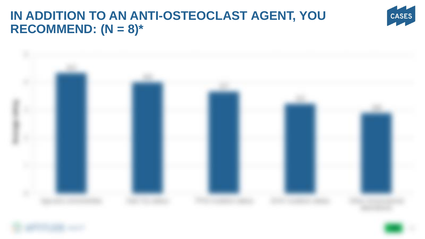## **IN ADDITION TO AN ANTI-OSTEOCLAST AGENT, YOU RECOMMEND: (N = 8)\***





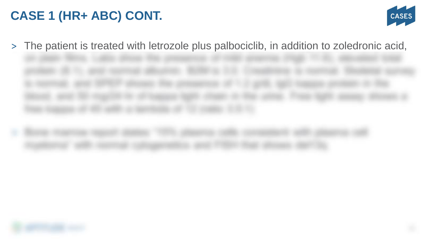## **CASE 1 (HR+ ABC) CONT.**



> The patient is treated with letrozole plus palbociclib, in addition to zoledronic acid,



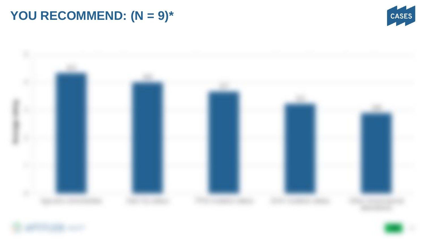## **YOU RECOMMEND: (N = 9)\***





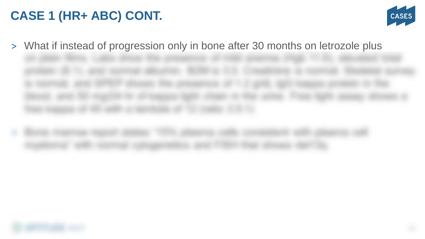## **CASE 1 (HR+ ABC) CONT.**



> What if instead of progression only in bone after 30 months on letrozole plus



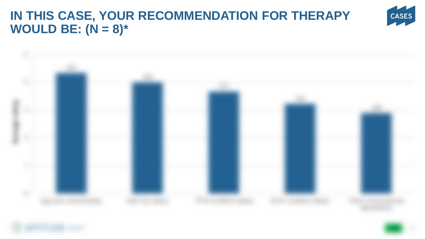## **IN THIS CASE, YOUR RECOMMENDATION FOR THERAPY WOULD BE: (N = 8)\***





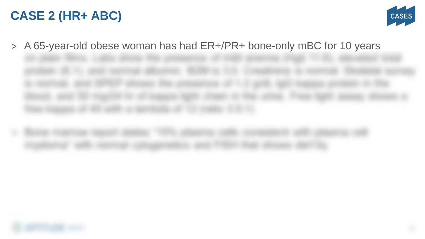## **CASE 2 (HR+ ABC)**



> A 65-year-old obese woman has had ER+/PR+ bone-only mBC for 10 years



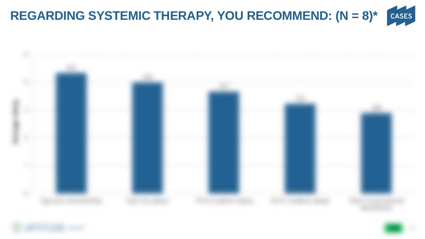



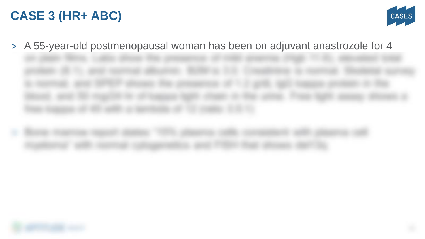## **CASE 3 (HR+ ABC)**

![](_page_35_Picture_1.jpeg)

> A 55-year-old postmenopausal woman has been on adjuvant anastrozole for 4

![](_page_35_Picture_3.jpeg)

![](_page_35_Picture_4.jpeg)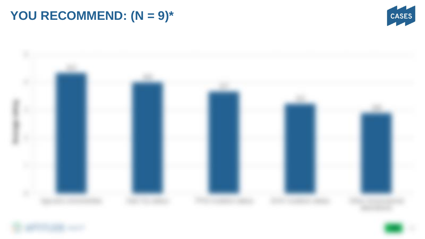## **YOU RECOMMEND: (N = 9)\***

![](_page_36_Picture_1.jpeg)

![](_page_36_Picture_2.jpeg)

![](_page_36_Picture_3.jpeg)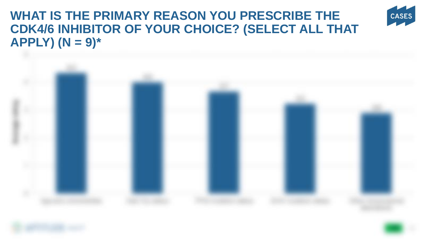## **WHAT IS THE PRIMARY REASON YOU PRESCRIBE THE CDK4/6 INHIBITOR OF YOUR CHOICE? (SELECT ALL THAT APPLY) (N = 9)\***

![](_page_37_Picture_1.jpeg)

![](_page_37_Picture_2.jpeg)

![](_page_37_Picture_3.jpeg)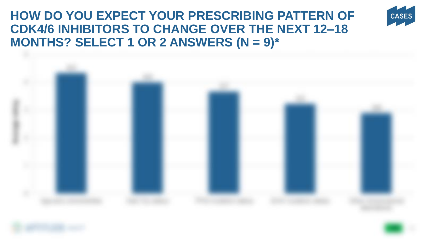## **HOW DO YOU EXPECT YOUR PRESCRIBING PATTERN OF CDK4/6 INHIBITORS TO CHANGE OVER THE NEXT 12–18 MONTHS? SELECT 1 OR 2 ANSWERS (N = 9)\***

![](_page_38_Picture_1.jpeg)

![](_page_38_Picture_2.jpeg)

![](_page_38_Picture_3.jpeg)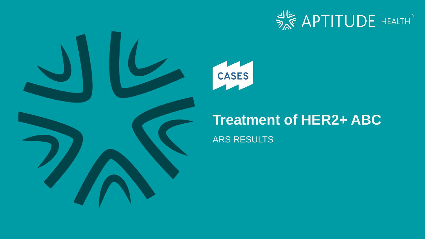![](_page_39_Picture_0.jpeg)

![](_page_39_Picture_1.jpeg)

![](_page_39_Picture_2.jpeg)

## **Treatment of HER2+ ABC**

### ARS RESULTS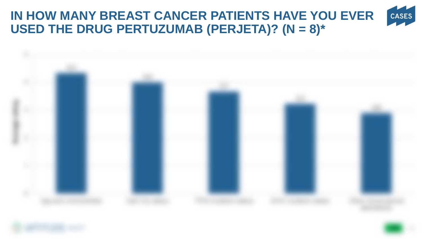#### <span id="page-40-0"></span>**IN HOW MANY BREAST CANCER PATIENTS HAVE YOU EVER**  CASES **USED THE DRUG PERTUZUMAB (PERJETA)? (N = 8)\***

![](_page_40_Picture_1.jpeg)

![](_page_40_Picture_2.jpeg)

![](_page_40_Picture_3.jpeg)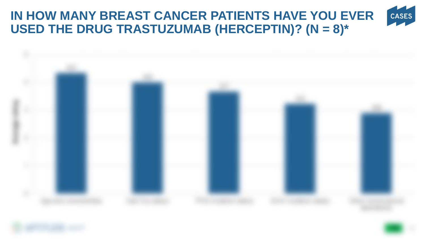## <span id="page-41-0"></span>**IN HOW MANY BREAST CANCER PATIENTS HAVE YOU EVER USED THE DRUG TRASTUZUMAB (HERCEPTIN)? (N = 8)\***

![](_page_41_Picture_1.jpeg)

![](_page_41_Picture_2.jpeg)

![](_page_41_Picture_3.jpeg)

![](_page_41_Picture_4.jpeg)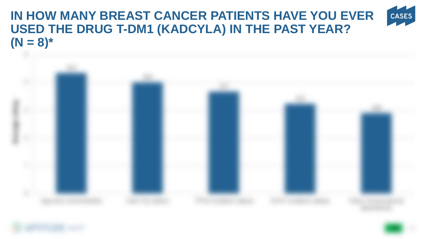### <span id="page-42-0"></span>**IN HOW MANY BREAST CANCER PATIENTS HAVE YOU EVER**  CASES **USED THE DRUG T-DM1 (KADCYLA) IN THE PAST YEAR?**   $(N = 8)^*$

![](_page_42_Picture_1.jpeg)

![](_page_42_Picture_2.jpeg)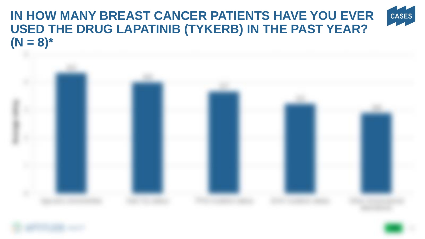### <span id="page-43-0"></span>**IN HOW MANY BREAST CANCER PATIENTS HAVE YOU EVER**  CASES **USED THE DRUG LAPATINIB (TYKERB) IN THE PAST YEAR?**   $(N = 8)^*$

![](_page_43_Picture_1.jpeg)

![](_page_43_Picture_2.jpeg)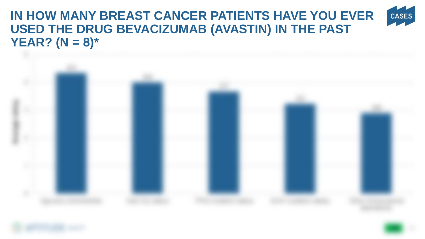### <span id="page-44-0"></span>**IN HOW MANY BREAST CANCER PATIENTS HAVE YOU EVER**  CASES **USED THE DRUG BEVACIZUMAB (AVASTIN) IN THE PAST YEAR? (N = 8)\***

![](_page_44_Picture_1.jpeg)

![](_page_44_Picture_2.jpeg)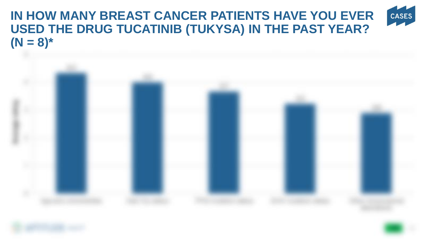### **IN HOW MANY BREAST CANCER PATIENTS HAVE YOU EVER**  CASES **USED THE DRUG TUCATINIB (TUKYSA) IN THE PAST YEAR?**   $(N = 8)^*$

![](_page_45_Picture_1.jpeg)

![](_page_45_Picture_2.jpeg)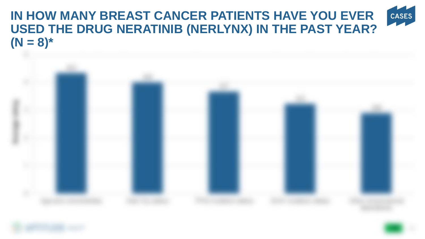### <span id="page-46-0"></span>**IN HOW MANY BREAST CANCER PATIENTS HAVE YOU EVER**  CASES **USED THE DRUG NERATINIB (NERLYNX) IN THE PAST YEAR?**   $(N = 8)^*$

![](_page_46_Picture_1.jpeg)

![](_page_46_Picture_2.jpeg)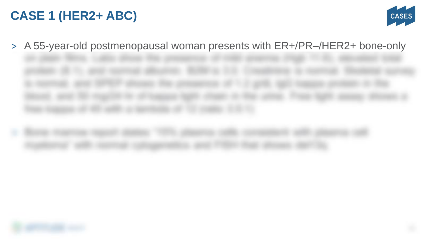## **CASE 1 (HER2+ ABC)**

![](_page_47_Picture_1.jpeg)

> A 55-year-old postmenopausal woman presents with ER+/PR–/HER2+ bone-only

![](_page_47_Picture_3.jpeg)

![](_page_47_Picture_4.jpeg)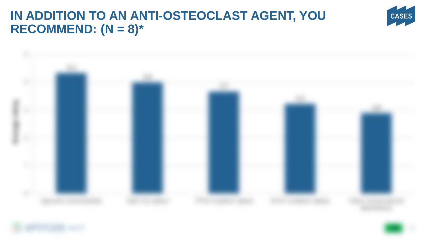## **IN ADDITION TO AN ANTI-OSTEOCLAST AGENT, YOU RECOMMEND: (N = 8)\***

![](_page_48_Picture_1.jpeg)

![](_page_48_Picture_2.jpeg)

![](_page_48_Picture_3.jpeg)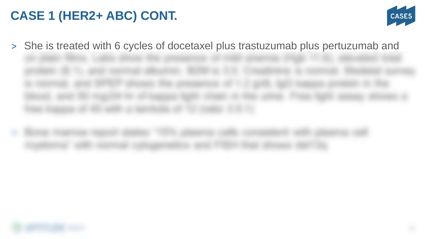## **CASE 1 (HER2+ ABC) CONT.**

![](_page_49_Picture_1.jpeg)

> She is treated with 6 cycles of docetaxel plus trastuzumab plus pertuzumab and

![](_page_49_Picture_3.jpeg)

![](_page_49_Picture_4.jpeg)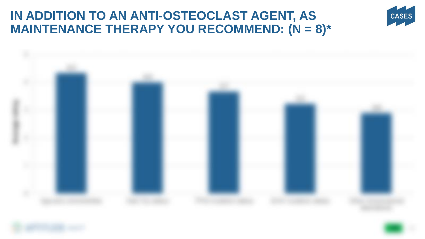## **IN ADDITION TO AN ANTI-OSTEOCLAST AGENT, AS MAINTENANCE THERAPY YOU RECOMMEND: (N = 8)\***

![](_page_50_Picture_1.jpeg)

![](_page_50_Picture_2.jpeg)

![](_page_50_Picture_3.jpeg)

![](_page_50_Picture_4.jpeg)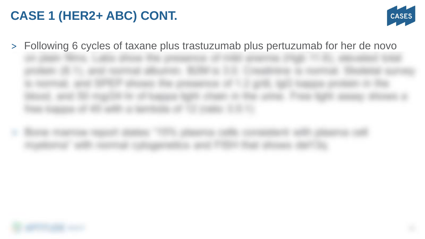## **CASE 1 (HER2+ ABC) CONT.**

![](_page_51_Picture_1.jpeg)

> Following 6 cycles of taxane plus trastuzumab plus pertuzumab for her de novo

![](_page_51_Picture_3.jpeg)

![](_page_51_Picture_4.jpeg)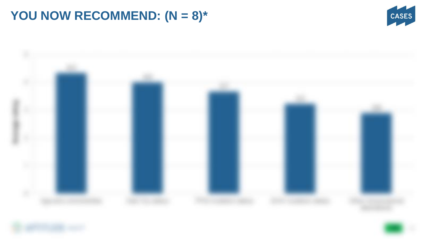## **YOU NOW RECOMMEND: (N = 8)\***

![](_page_52_Picture_1.jpeg)

![](_page_52_Picture_2.jpeg)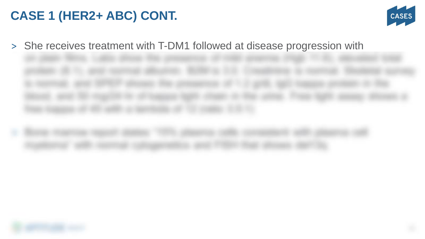## **CASE 1 (HER2+ ABC) CONT.**

![](_page_53_Picture_1.jpeg)

> She receives treatment with T-DM1 followed at disease progression with

![](_page_53_Picture_3.jpeg)

![](_page_53_Picture_4.jpeg)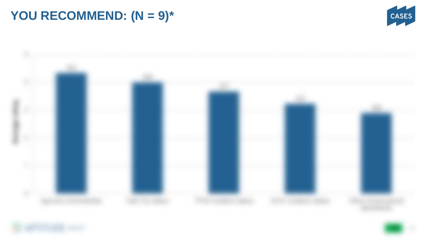## **YOU RECOMMEND: (N = 9)\***

![](_page_54_Picture_1.jpeg)

![](_page_54_Picture_2.jpeg)

![](_page_54_Picture_3.jpeg)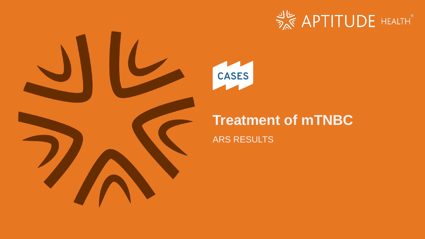![](_page_55_Picture_0.jpeg)

![](_page_55_Picture_1.jpeg)

![](_page_55_Picture_2.jpeg)

## **Treatment of mTNBC**

ARS RESULTS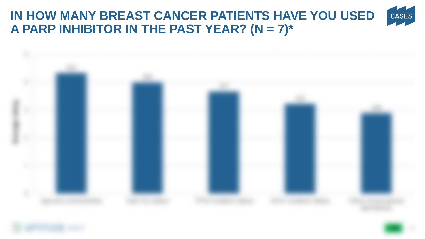### **IN HOW MANY BREAST CANCER PATIENTS HAVE YOU USED**  CASES **A PARP INHIBITOR IN THE PAST YEAR? (N = 7)\***

![](_page_56_Picture_1.jpeg)

![](_page_56_Picture_2.jpeg)

![](_page_56_Picture_3.jpeg)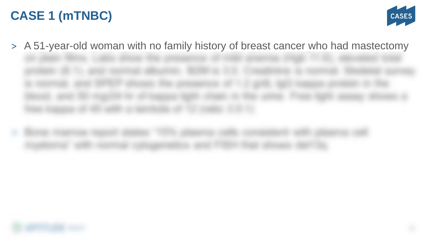## **CASE 1 (mTNBC)**

![](_page_57_Picture_1.jpeg)

> A 51-year-old woman with no family history of breast cancer who had mastectomy

![](_page_57_Picture_3.jpeg)

![](_page_57_Picture_4.jpeg)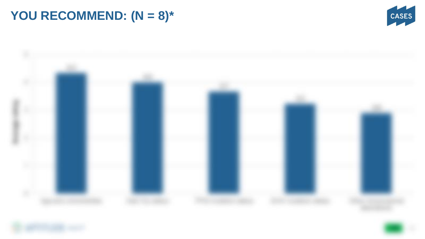## **YOU RECOMMEND: (N = 8)\***

![](_page_58_Picture_1.jpeg)

![](_page_58_Picture_2.jpeg)

![](_page_58_Picture_3.jpeg)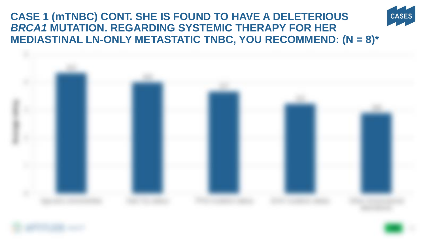### **CASE 1 (mTNBC) CONT. SHE IS FOUND TO HAVE A DELETERIOUS**  *BRCA1* **MUTATION. REGARDING SYSTEMIC THERAPY FOR HER MEDIASTINAL LN-ONLY METASTATIC TNBC, YOU RECOMMEND: (N = 8)\***

**CASES** 

![](_page_59_Picture_1.jpeg)

![](_page_59_Picture_2.jpeg)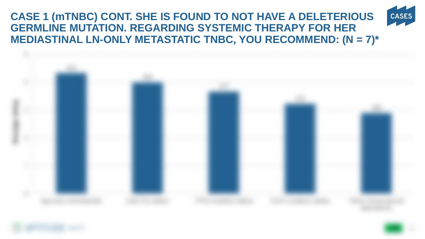**CASE 1 (mTNBC) CONT. SHE IS FOUND TO NOT HAVE A DELETERIOUS GERMLINE MUTATION. REGARDING SYSTEMIC THERAPY FOR HER MEDIASTINAL LN-ONLY METASTATIC TNBC, YOU RECOMMEND: (N = 7)\***

CASES

![](_page_60_Picture_1.jpeg)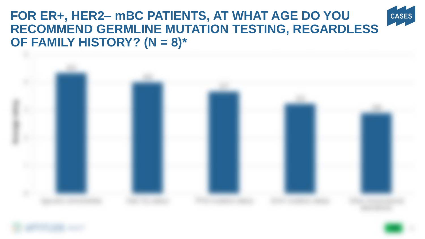### **FOR ER+, HER2– mBC PATIENTS, AT WHAT AGE DO YOU CASES RECOMMEND GERMLINE MUTATION TESTING, REGARDLESS OF FAMILY HISTORY? (N = 8)\***

![](_page_61_Picture_1.jpeg)

![](_page_61_Picture_2.jpeg)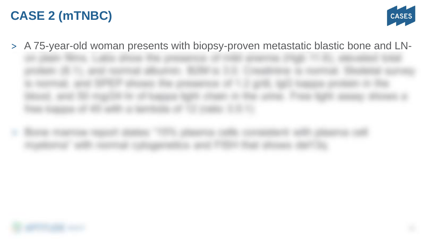## **CASE 2 (mTNBC)**

![](_page_62_Picture_1.jpeg)

> A 75-year-old woman presents with biopsy-proven metastatic blastic bone and LN-

![](_page_62_Picture_3.jpeg)

![](_page_62_Picture_4.jpeg)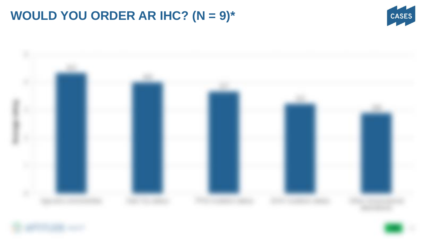## <span id="page-63-0"></span>**WOULD YOU ORDER AR IHC? (N = 9)\***

![](_page_63_Picture_1.jpeg)

![](_page_63_Picture_2.jpeg)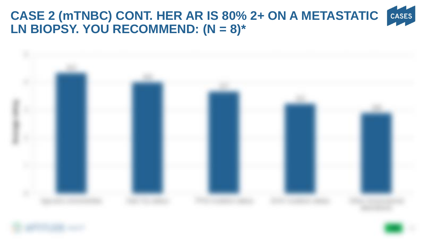### CASES **CASE 2 (mTNBC) CONT. HER AR IS 80% 2+ ON A METASTATIC LN BIOPSY. YOU RECOMMEND: (N = 8)\***

![](_page_64_Picture_1.jpeg)

![](_page_64_Picture_2.jpeg)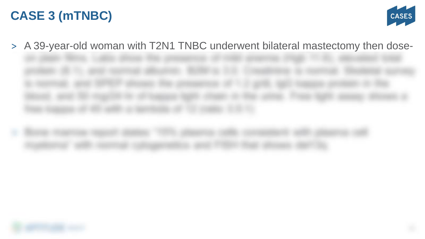## **CASE 3 (mTNBC)**

![](_page_65_Picture_1.jpeg)

> A 39-year-old woman with T2N1 TNBC underwent bilateral mastectomy then dose-

![](_page_65_Picture_3.jpeg)

![](_page_65_Picture_4.jpeg)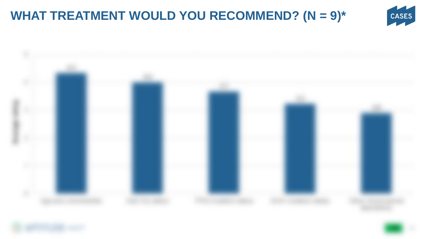## **WHAT TREATMENT WOULD YOU RECOMMEND? (N = 9)\***

![](_page_66_Picture_1.jpeg)

![](_page_66_Picture_2.jpeg)